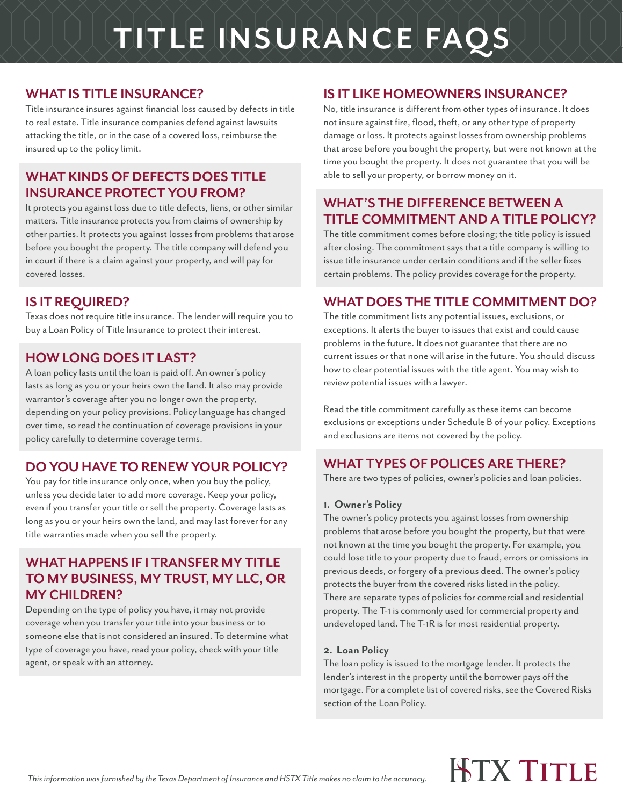# **TITLE INSURANCE FAQS**

#### **WHAT IS TITLE INSURANCE?**

Title insurance insures against financial loss caused by defects in title to real estate. Title insurance companies defend against lawsuits attacking the title, or in the case of a covered loss, reimburse the insured up to the policy limit.

#### **WHAT KINDS OF DEFECTS DOES TITLE INSURANCE PROTECT YOU FROM?**

It protects you against loss due to title defects, liens, or other similar matters. Title insurance protects you from claims of ownership by other parties. It protects you against losses from problems that arose before you bought the property. The title company will defend you in court if there is a claim against your property, and will pay for covered losses.

### **IS IT REQUIRED?**

Texas does not require title insurance. The lender will require you to buy a Loan Policy of Title Insurance to protect their interest.

#### **HOW LONG DOES IT LAST?**

A loan policy lasts until the loan is paid off. An owner's policy lasts as long as you or your heirs own the land. It also may provide warrantor's coverage after you no longer own the property, depending on your policy provisions. Policy language has changed over time, so read the continuation of coverage provisions in your policy carefully to determine coverage terms.

#### **DO YOU HAVE TO RENEW YOUR POLICY?**

You pay for title insurance only once, when you buy the policy, unless you decide later to add more coverage. Keep your policy, even if you transfer your title or sell the property. Coverage lasts as long as you or your heirs own the land, and may last forever for any title warranties made when you sell the property.

#### **WHAT HAPPENS IF I TRANSFER MY TITLE TO MY BUSINESS, MY TRUST, MY LLC, OR MY CHILDREN?**

Depending on the type of policy you have, it may not provide coverage when you transfer your title into your business or to someone else that is not considered an insured. To determine what type of coverage you have, read your policy, check with your title agent, or speak with an attorney.

#### **IS IT LIKE HOMEOWNERS INSURANCE?**

No, title insurance is different from other types of insurance. It does not insure against fire, flood, theft, or any other type of property damage or loss. It protects against losses from ownership problems that arose before you bought the property, but were not known at the time you bought the property. It does not guarantee that you will be able to sell your property, or borrow money on it.

#### **WHAT'S THE DIFFERENCE BETWEEN A TITLE COMMITMENT AND A TITLE POLICY?**

The title commitment comes before closing; the title policy is issued after closing. The commitment says that a title company is willing to issue title insurance under certain conditions and if the seller fixes certain problems. The policy provides coverage for the property.

#### **WHAT DOES THE TITLE COMMITMENT DO?**

The title commitment lists any potential issues, exclusions, or exceptions. It alerts the buyer to issues that exist and could cause problems in the future. It does not guarantee that there are no current issues or that none will arise in the future. You should discuss how to clear potential issues with the title agent. You may wish to review potential issues with a lawyer.

Read the title commitment carefully as these items can become exclusions or exceptions under Schedule B of your policy. Exceptions and exclusions are items not covered by the policy.

#### **WHAT TYPES OF POLICES ARE THERE?**

There are two types of policies, owner's policies and loan policies.

#### **1. Owner's Policy**

The owner's policy protects you against losses from ownership problems that arose before you bought the property, but that were not known at the time you bought the property. For example, you could lose title to your property due to fraud, errors or omissions in previous deeds, or forgery of a previous deed. The owner's policy protects the buyer from the covered risks listed in the policy. There are separate types of policies for commercial and residential property. The T-1 is commonly used for commercial property and undeveloped land. The T-1R is for most residential property.

#### **2. Loan Policy**

The loan policy is issued to the mortgage lender. It protects the lender's interest in the property until the borrower pays off the mortgage. For a complete list of covered risks, see the Covered Risks section of the Loan Policy.

### **ISTX TITLE**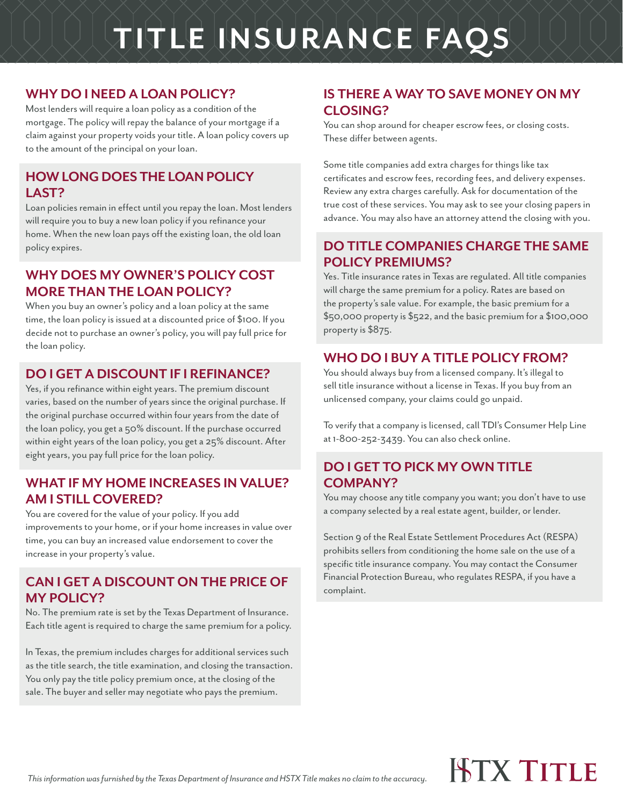## **TITLE INSURANCE FAQS**

#### **WHY DO I NEED A LOAN POLICY?**

Most lenders will require a loan policy as a condition of the mortgage. The policy will repay the balance of your mortgage if a claim against your property voids your title. A loan policy covers up to the amount of the principal on your loan.

#### **HOW LONG DOES THE LOAN POLICY LAST?**

Loan policies remain in effect until you repay the loan. Most lenders will require you to buy a new loan policy if you refinance your home. When the new loan pays off the existing loan, the old loan policy expires.

#### **WHY DOES MY OWNER'S POLICY COST MORE THAN THE LOAN POLICY?**

When you buy an owner's policy and a loan policy at the same time, the loan policy is issued at a discounted price of \$100. If you decide not to purchase an owner's policy, you will pay full price for the loan policy.

#### **DO I GET A DISCOUNT IF I REFINANCE?**

Yes, if you refinance within eight years. The premium discount varies, based on the number of years since the original purchase. If the original purchase occurred within four years from the date of the loan policy, you get a 50% discount. If the purchase occurred within eight years of the loan policy, you get a 25% discount. After eight years, you pay full price for the loan policy.

#### **WHAT IF MY HOME INCREASES IN VALUE? AM I STILL COVERED?**

You are covered for the value of your policy. If you add improvements to your home, or if your home increases in value over time, you can buy an increased value endorsement to cover the increase in your property's value.

#### **CAN I GET A DISCOUNT ON THE PRICE OF MY POLICY?**

No. The premium rate is set by the Texas Department of Insurance. Each title agent is required to charge the same premium for a policy.

In Texas, the premium includes charges for additional services such as the title search, the title examination, and closing the transaction. You only pay the title policy premium once, at the closing of the sale. The buyer and seller may negotiate who pays the premium.

### **IS THERE A WAY TO SAVE MONEY ON MY CLOSING?**

You can shop around for cheaper escrow fees, or closing costs. These differ between agents.

Some title companies add extra charges for things like tax certificates and escrow fees, recording fees, and delivery expenses. Review any extra charges carefully. Ask for documentation of the true cost of these services. You may ask to see your closing papers in advance. You may also have an attorney attend the closing with you.

#### **DO TITLE COMPANIES CHARGE THE SAME POLICY PREMIUMS?**

Yes. Title insurance rates in Texas are regulated. All title companies will charge the same premium for a policy. Rates are based on the property's sale value. For example, the basic premium for a \$50,000 property is \$522, and the basic premium for a \$100,000 property is \$875.

#### **WHO DO I BUY A TITLE POLICY FROM?**

You should always buy from a licensed company. It's illegal to sell title insurance without a license in Texas. If you buy from an unlicensed company, your claims could go unpaid.

To verify that a company is licensed, call TDI's Consumer Help Line at 1-800-252-3439. You can also check online.

#### **DO I GET TO PICK MY OWN TITLE COMPANY?**

You may choose any title company you want; you don't have to use a company selected by a real estate agent, builder, or lender.

Section 9 of the Real Estate Settlement Procedures Act (RESPA) prohibits sellers from conditioning the home sale on the use of a specific title insurance company. You may contact the Consumer Financial Protection Bureau, who regulates RESPA, if you have a complaint.

### **HTX TITLE**